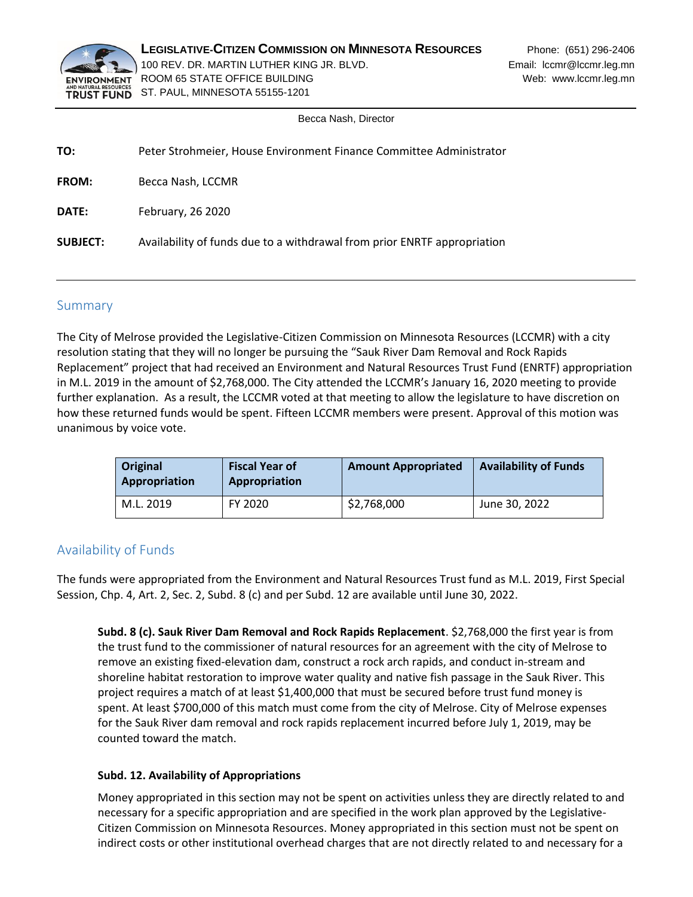

**LEGISLATIVE-CITIZEN COMMISSION ON MINNESOTA RESOURCES** Phone: (651) 296-2406 100 REV. DR. MARTIN LUTHER KING JR. BLVD. **EMAIL:** Email: lccmr@lccmr.leg.mn ENVIRONMENT ROOM 65 STATE OFFICE BUILDING WEDGET AND MODEL WAS MODEL WARD WEB: www.lccmr.leg.mn TRUST FUND ST. PAUL, MINNESOTA 55155-1201

Becca Nash, Director

| Peter Strohmeier, House Environment Finance Committee Administrator      |
|--------------------------------------------------------------------------|
| Becca Nash, LCCMR                                                        |
| February, 26 2020                                                        |
| Availability of funds due to a withdrawal from prior ENRTF appropriation |
|                                                                          |

## Summary

The City of Melrose provided the Legislative-Citizen Commission on Minnesota Resources (LCCMR) with a city resolution stating that they will no longer be pursuing the "Sauk River Dam Removal and Rock Rapids Replacement" project that had received an Environment and Natural Resources Trust Fund (ENRTF) appropriation in M.L. 2019 in the amount of \$2,768,000. The City attended the LCCMR's January 16, 2020 meeting to provide further explanation. As a result, the LCCMR voted at that meeting to allow the legislature to have discretion on how these returned funds would be spent. Fifteen LCCMR members were present. Approval of this motion was unanimous by voice vote.

| Original<br>Appropriation | <b>Fiscal Year of</b><br>Appropriation | <b>Amount Appropriated</b> | <b>Availability of Funds</b> |
|---------------------------|----------------------------------------|----------------------------|------------------------------|
| M.L. 2019                 | FY 2020                                | \$2,768,000                | June 30, 2022                |

# Availability of Funds

The funds were appropriated from the Environment and Natural Resources Trust fund as M.L. 2019, First Special Session, Chp. 4, Art. 2, Sec. 2, Subd. 8 (c) and per Subd. 12 are available until June 30, 2022.

**Subd. 8 (c). Sauk River Dam Removal and Rock Rapids Replacement**. \$2,768,000 the first year is from the trust fund to the commissioner of natural resources for an agreement with the city of Melrose to remove an existing fixed-elevation dam, construct a rock arch rapids, and conduct in-stream and shoreline habitat restoration to improve water quality and native fish passage in the Sauk River. This project requires a match of at least \$1,400,000 that must be secured before trust fund money is spent. At least \$700,000 of this match must come from the city of Melrose. City of Melrose expenses for the Sauk River dam removal and rock rapids replacement incurred before July 1, 2019, may be counted toward the match.

#### **Subd. 12. Availability of Appropriations**

Money appropriated in this section may not be spent on activities unless they are directly related to and necessary for a specific appropriation and are specified in the work plan approved by the Legislative-Citizen Commission on Minnesota Resources. Money appropriated in this section must not be spent on indirect costs or other institutional overhead charges that are not directly related to and necessary for a